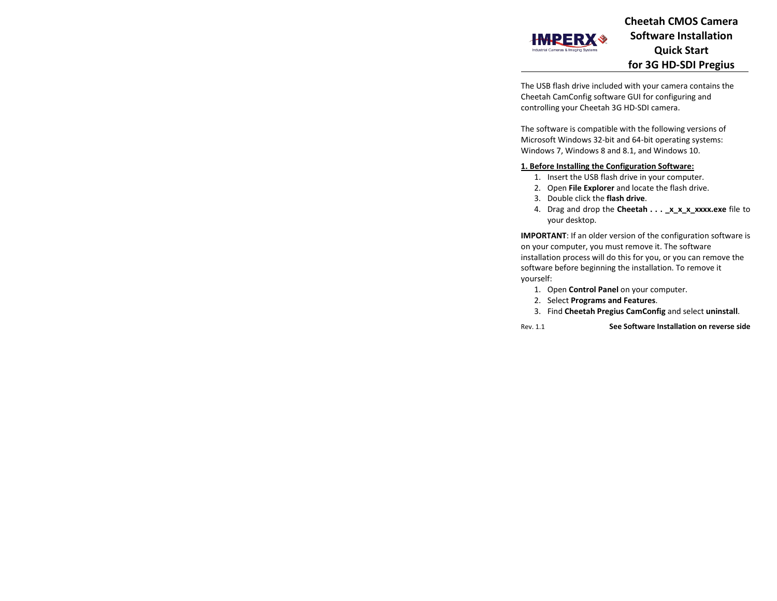## **Cheetah CMOS Camera Software Installation Quick Start for 3G HD-SDI Pregius**

The USB flash drive included with your camera contains the Cheetah CamConfig software GUI for configuring and controlling your Cheetah 3G HD-SDI camera.

The software is compatible with the following versions of Microsoft Windows 32-bit and 64-bit operating systems: Windows 7, Windows 8 and 8.1, and Windows 10.

## **1. Before Installing the Configuration Software:**

- 1. Insert the USB flash drive in your computer.
- 2. Open **File Explorer** and locate the flash drive.
- 3. Double click the **flash drive**.
- 4. Drag and drop the **Cheetah . . . \_x\_x\_x\_xxxx.exe** file to your desktop.

**IMPORTANT**: If an older version of the configuration software is on your computer, you must remove it. The software installation process will do this for you, or you can remove the software before beginning the installation. To remove it yourself:

- 1. Open **Control Panel** on your computer.
- 2. Select **Programs and Features**.
- 3. Find **Cheetah Pregius CamConfig** and select **uninstall**.
- 

HWKER

Rev. 1.1 **See Software Installation on reverse side**